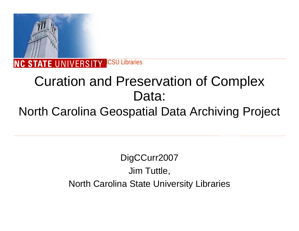

# Curation and Preservation of Complex Data:

## North Carolina Geospatial Data Archiving Project

#### DigCCurr2007 Jim Tuttle, North Carolina State University Libraries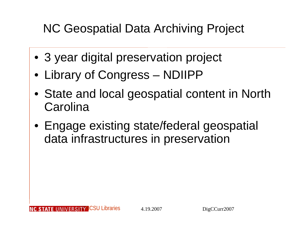## NC Geospatial Data Archiving Project

- 3 year digital preservation project
- Library of Congress NDIIPP
- State and local geospatial content in North **Carolina**
- Engage existing state/federal geospatial data infrastructures in preservation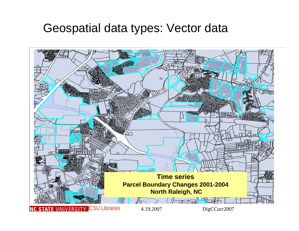#### Geospatial data types: Vector data

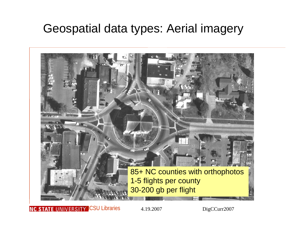#### Geospatial data types: Aerial imagery



**NC STATE UNIVERSITY CSU Libraries** 

4.19.2007 DigCCurr2007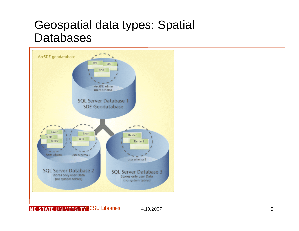#### Geospatial data types: Spatial **Databases**



#### **NC STATE UNIVERSITY CSU Libraries**

4.19.2007 5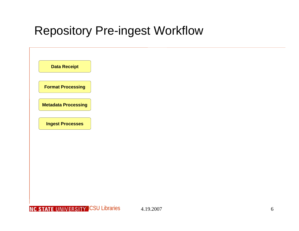#### Repository Pre-ingest Workflow

| <b>Data Receipt</b>        |
|----------------------------|
| <b>Format Processing</b>   |
| <b>Metadata Processing</b> |
| <b>Ingest Processes</b>    |
|                            |
|                            |
|                            |
|                            |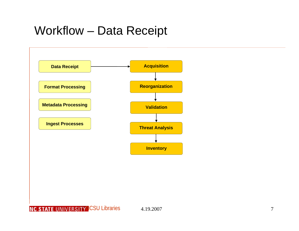#### Workflow – Data Receipt

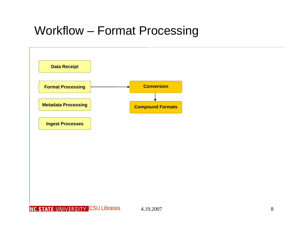### Workflow – Format Processing

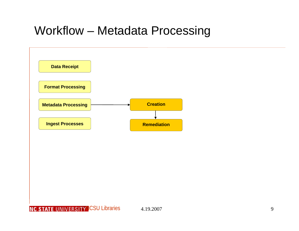### Workflow – Metadata Processing

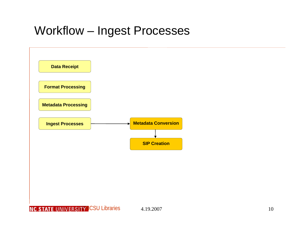#### Workflow – Ingest Processes



4.19.2007 10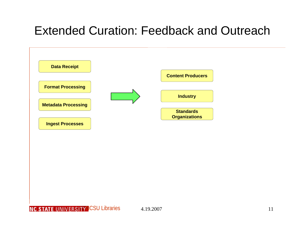#### Extended Curation: Feedback and Outreach